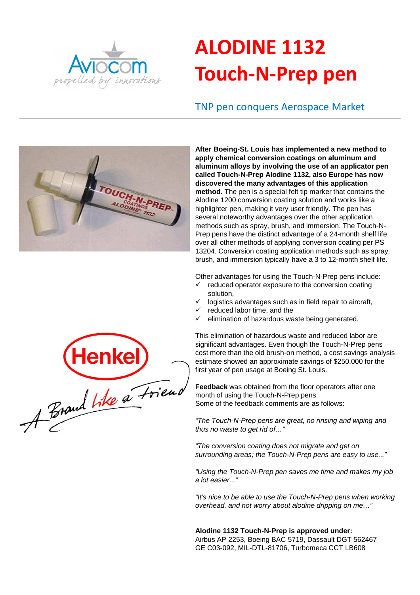

# **ALODINE 1132 Touch-N-Prep pen**

## TNP pen conquers Aerospace Market



**After Boeing-St. Louis has implemented a new method to apply chemical conversion coatings on aluminum and aluminum alloys by involving the use of an applicator pen called Touch-N-Prep Alodine 1132, also Europe has now discovered the many advantages of this application method.** The pen is a special felt tip marker that contains the Alodine 1200 conversion coating solution and works like a highlighter pen, making it very user friendly. The pen has several noteworthy advantages over the other application methods such as spray, brush, and immersion. The Touch-N-Prep pens have the distinct advantage of a 24-month shelf life over all other methods of applying conversion coating per PS 13204. Conversion coating application methods such as spray, brush, and immersion typically have a 3 to 12-month shelf life.

Other advantages for using the Touch-N-Prep pens include:

- reduced operator exposure to the conversion coating solution,
- logistics advantages such as in field repair to aircraft,
- reduced labor time, and the
- $\checkmark$  elimination of hazardous waste being generated.

This elimination of hazardous waste and reduced labor are significant advantages. Even though the Touch-N-Prep pens cost more than the old brush-on method, a cost savings analysis estimate showed an approximate savings of \$250,000 for the first year of pen usage at Boeing St. Louis.

**Feedback** was obtained from the floor operators after one month of using the Touch-N-Prep pens. Some of the feedback comments are as follows:

"The Touch-N-Prep pens are great, no rinsing and wiping and thus no waste to get rid of…"

"The conversion coating does not migrate and get on surrounding areas; the Touch-N-Prep pens are easy to use..."

"Using the Touch-N-Prep pen saves me time and makes my job a lot easier..."

"It's nice to be able to use the Touch-N-Prep pens when working overhead, and not worry about alodine dripping on me…"

**Alodine 1132 Touch-N-Prep is approved under:** Airbus AP 2253, Boeing BAC 5719, Dassault DGT 562467 GE C03-092, MIL-DTL-81706, Turbomeca CCT LB608

Henkel)